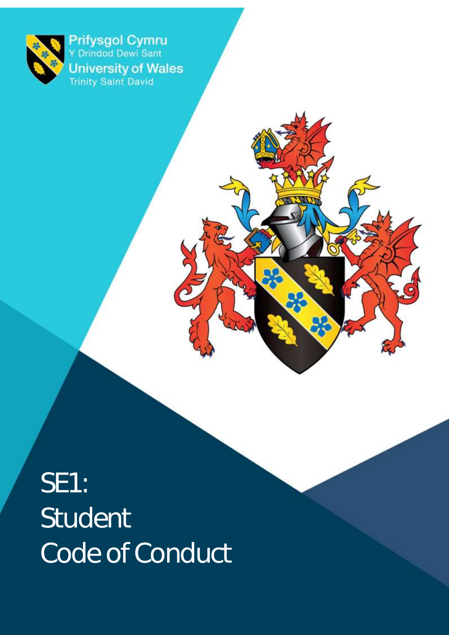

Prifysgol Cymru<br>Y Drindod Dewi Sant **University of Wales**<br>Trinity Saint David

SE1: Student Code of Conduct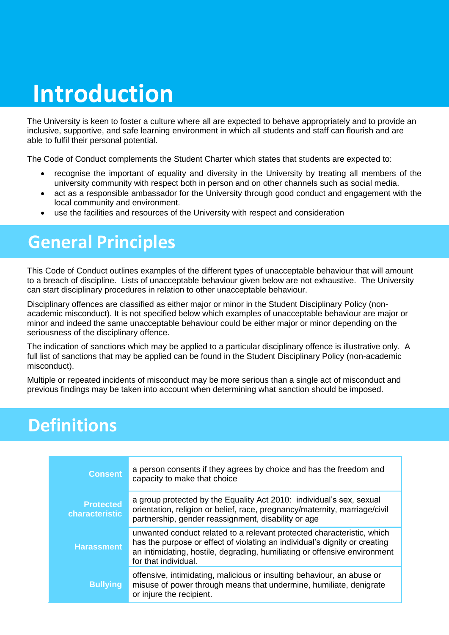### **Introduction**

The University is keen to foster a culture where all are expected to behave appropriately and to provide an inclusive, supportive, and safe learning environment in which all students and staff can flourish and are able to fulfil their personal potential.

The Code of Conduct complements the Student Charter which states that students are expected to:

- recognise the important of equality and diversity in the University by treating all members of the university community with respect both in person and on other channels such as social media.
- act as a responsible ambassador for the University through good conduct and engagement with the local community and environment.
- use the facilities and resources of the University with respect and consideration

#### **General Principles**

This Code of Conduct outlines examples of the different types of unacceptable behaviour that will amount to a breach of discipline. Lists of unacceptable behaviour given below are not exhaustive. The University can start disciplinary procedures in relation to other unacceptable behaviour.

Disciplinary offences are classified as either major or minor in the Student Disciplinary Policy (nonacademic misconduct). It is not specified below which examples of unacceptable behaviour are major or minor and indeed the same unacceptable behaviour could be either major or minor depending on the seriousness of the disciplinary offence.

The indication of sanctions which may be applied to a particular disciplinary offence is illustrative only. A full list of sanctions that may be applied can be found in the Student Disciplinary Policy (non-academic misconduct).

Multiple or repeated incidents of misconduct may be more serious than a single act of misconduct and previous findings may be taken into account when determining what sanction should be imposed.

#### **Definitions**

| <b>Consent</b>                     | a person consents if they agrees by choice and has the freedom and<br>capacity to make that choice                                                                                                                                                        |
|------------------------------------|-----------------------------------------------------------------------------------------------------------------------------------------------------------------------------------------------------------------------------------------------------------|
| <b>Protected</b><br>characteristic | a group protected by the Equality Act 2010: individual's sex, sexual<br>orientation, religion or belief, race, pregnancy/maternity, marriage/civil<br>partnership, gender reassignment, disability or age                                                 |
| <b>Harassment</b>                  | unwanted conduct related to a relevant protected characteristic, which<br>has the purpose or effect of violating an individual's dignity or creating<br>an intimidating, hostile, degrading, humiliating or offensive environment<br>for that individual. |
| <b>Bullying</b>                    | offensive, intimidating, malicious or insulting behaviour, an abuse or<br>misuse of power through means that undermine, humiliate, denigrate<br>or injure the recipient.                                                                                  |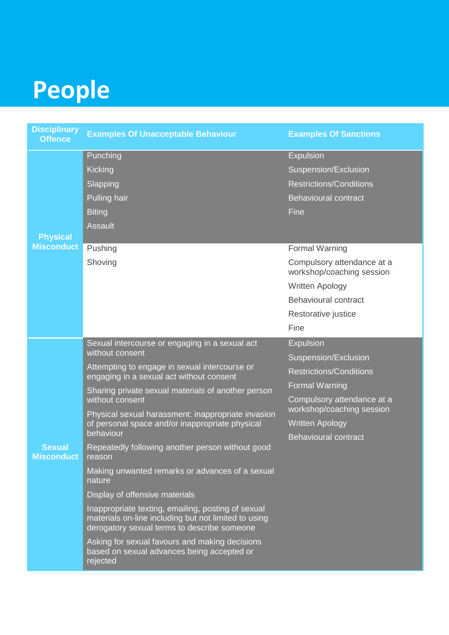# **People**

| <b>Disciplinary</b><br><b>Offence</b> | <b>Examples Of Unacceptable Behaviour</b>                                                                                                                                                                                                                                                                                                                                                                                                                                                                                                                                                                                                                                                                                                                                                           | <b>Examples Of Sanctions</b>                                                                                                                                                                                                                                                                  |
|---------------------------------------|-----------------------------------------------------------------------------------------------------------------------------------------------------------------------------------------------------------------------------------------------------------------------------------------------------------------------------------------------------------------------------------------------------------------------------------------------------------------------------------------------------------------------------------------------------------------------------------------------------------------------------------------------------------------------------------------------------------------------------------------------------------------------------------------------------|-----------------------------------------------------------------------------------------------------------------------------------------------------------------------------------------------------------------------------------------------------------------------------------------------|
| <b>Physical</b><br><b>Misconduct</b>  | Punching<br><b>Kicking</b><br>Slapping<br>Pulling hair<br><b>Biting</b><br>Assault<br>Pushing<br>Shoving                                                                                                                                                                                                                                                                                                                                                                                                                                                                                                                                                                                                                                                                                            | <b>Expulsion</b><br>Suspension/Exclusion<br><b>Restrictions/Conditions</b><br><b>Behavioural contract</b><br>Fine<br><b>Formal Warning</b><br>Compulsory attendance at a<br>workshop/coaching session<br><b>Written Apology</b><br><b>Behavioural contract</b><br>Restorative justice<br>Fine |
| <b>Sexual</b><br><b>Misconduct</b>    | Sexual intercourse or engaging in a sexual act<br>without consent<br>Attempting to engage in sexual intercourse or<br>engaging in a sexual act without consent<br>Sharing private sexual materials of another person<br>without consent<br>Physical sexual harassment: inappropriate invasion<br>of personal space and/or inappropriate physical<br>behaviour<br>Repeatedly following another person without good<br>reason<br>Making unwanted remarks or advances of a sexual<br>nature<br>Display of offensive materials<br>Inappropriate texting, emailing, posting of sexual<br>materials on-line including but not limited to using<br>derogatory sexual terms to describe someone<br>Asking for sexual favours and making decisions<br>based on sexual advances being accepted or<br>rejected | <b>Expulsion</b><br>Suspension/Exclusion<br><b>Restrictions/Conditions</b><br><b>Formal Warning</b><br>Compulsory attendance at a<br>workshop/coaching session<br><b>Written Apology</b><br><b>Behavioural contract</b>                                                                       |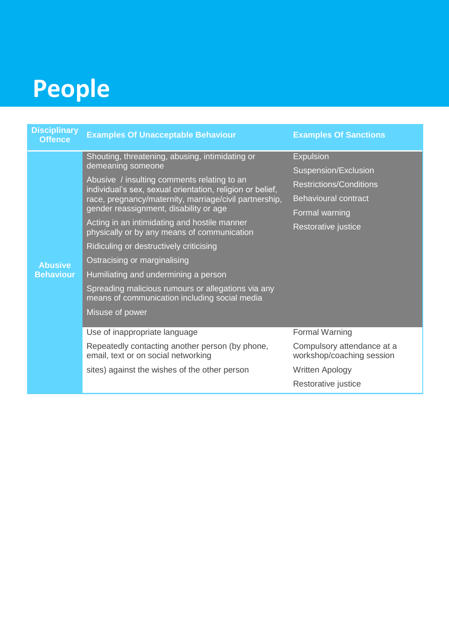### **People**

| <b>Disciplinary</b><br><b>Offence</b> | <b>Examples Of Unacceptable Behaviour</b>                                                                                                                                                                    | <b>Examples Of Sanctions</b>                            |
|---------------------------------------|--------------------------------------------------------------------------------------------------------------------------------------------------------------------------------------------------------------|---------------------------------------------------------|
| <b>Abusive</b><br><b>Behaviour</b>    | Shouting, threatening, abusing, intimidating or<br>demeaning someone                                                                                                                                         | <b>Expulsion</b>                                        |
|                                       |                                                                                                                                                                                                              | Suspension/Exclusion                                    |
|                                       | Abusive / insulting comments relating to an<br>individual's sex, sexual orientation, religion or belief,<br>race, pregnancy/maternity, marriage/civil partnership,<br>gender reassignment, disability or age | <b>Restrictions/Conditions</b>                          |
|                                       |                                                                                                                                                                                                              | <b>Behavioural contract</b>                             |
|                                       |                                                                                                                                                                                                              | Formal warning                                          |
|                                       | Acting in an intimidating and hostile manner<br>physically or by any means of communication                                                                                                                  | Restorative justice                                     |
|                                       | Ridiculing or destructively criticising                                                                                                                                                                      |                                                         |
|                                       | Ostracising or marginalising                                                                                                                                                                                 |                                                         |
|                                       | Humiliating and undermining a person                                                                                                                                                                         |                                                         |
|                                       | Spreading malicious rumours or allegations via any<br>means of communication including social media                                                                                                          |                                                         |
|                                       | Misuse of power                                                                                                                                                                                              |                                                         |
|                                       | Use of inappropriate language                                                                                                                                                                                | <b>Formal Warning</b>                                   |
|                                       | Repeatedly contacting another person (by phone,<br>email, text or on social networking                                                                                                                       | Compulsory attendance at a<br>workshop/coaching session |
|                                       | sites) against the wishes of the other person                                                                                                                                                                | <b>Written Apology</b>                                  |
|                                       |                                                                                                                                                                                                              | Restorative justice                                     |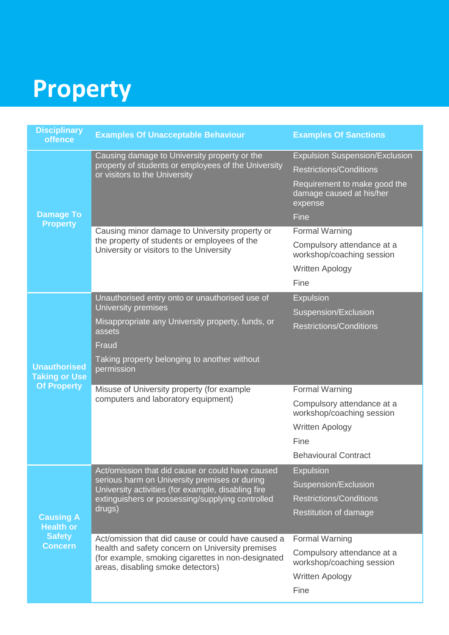# **Property**

| <b>Disciplinary</b><br>offence                                          | <b>Examples Of Unacceptable Behaviour</b>                                                                                                                                                                             | <b>Examples Of Sanctions</b>                                        |
|-------------------------------------------------------------------------|-----------------------------------------------------------------------------------------------------------------------------------------------------------------------------------------------------------------------|---------------------------------------------------------------------|
|                                                                         | Causing damage to University property or the<br>property of students or employees of the University<br>or visitors to the University                                                                                  | <b>Expulsion Suspension/Exclusion</b>                               |
|                                                                         |                                                                                                                                                                                                                       | <b>Restrictions/Conditions</b>                                      |
|                                                                         |                                                                                                                                                                                                                       | Requirement to make good the<br>damage caused at his/her<br>expense |
| <b>Damage To</b><br><b>Property</b>                                     |                                                                                                                                                                                                                       | Fine                                                                |
|                                                                         | Causing minor damage to University property or<br>the property of students or employees of the<br>University or visitors to the University                                                                            | <b>Formal Warning</b>                                               |
|                                                                         |                                                                                                                                                                                                                       | Compulsory attendance at a<br>workshop/coaching session             |
|                                                                         |                                                                                                                                                                                                                       | <b>Written Apology</b>                                              |
|                                                                         |                                                                                                                                                                                                                       | Fine                                                                |
|                                                                         | Unauthorised entry onto or unauthorised use of                                                                                                                                                                        | <b>Expulsion</b>                                                    |
|                                                                         | University premises                                                                                                                                                                                                   | Suspension/Exclusion                                                |
|                                                                         | Misappropriate any University property, funds, or<br>assets                                                                                                                                                           | <b>Restrictions/Conditions</b>                                      |
|                                                                         | Fraud                                                                                                                                                                                                                 |                                                                     |
| <b>Unauthorised</b><br><b>Taking or Use</b>                             | Taking property belonging to another without<br>permission                                                                                                                                                            |                                                                     |
| <b>Of Property</b>                                                      | Misuse of University property (for example<br>computers and laboratory equipment)                                                                                                                                     | <b>Formal Warning</b>                                               |
|                                                                         |                                                                                                                                                                                                                       | Compulsory attendance at a<br>workshop/coaching session             |
|                                                                         |                                                                                                                                                                                                                       | <b>Written Apology</b>                                              |
|                                                                         |                                                                                                                                                                                                                       | Fine                                                                |
|                                                                         |                                                                                                                                                                                                                       | <b>Behavioural Contract</b>                                         |
| <b>Causing A</b><br><b>Health or</b><br><b>Safety</b><br><b>Concern</b> | Act/omission that did cause or could have caused<br>serious harm on University premises or during<br>University activities (for example, disabling fire<br>extinguishers or possessing/supplying controlled<br>drugs) | <b>Expulsion</b>                                                    |
|                                                                         |                                                                                                                                                                                                                       | Suspension/Exclusion                                                |
|                                                                         |                                                                                                                                                                                                                       | <b>Restrictions/Conditions</b>                                      |
|                                                                         |                                                                                                                                                                                                                       | Restitution of damage                                               |
|                                                                         |                                                                                                                                                                                                                       |                                                                     |
|                                                                         | Act/omission that did cause or could have caused a<br>health and safety concern on University premises<br>(for example, smoking cigarettes in non-designated<br>areas, disabling smoke detectors)                     | <b>Formal Warning</b>                                               |
|                                                                         |                                                                                                                                                                                                                       | Compulsory attendance at a<br>workshop/coaching session             |
|                                                                         |                                                                                                                                                                                                                       | Written Apology                                                     |
|                                                                         |                                                                                                                                                                                                                       | Fine                                                                |
|                                                                         |                                                                                                                                                                                                                       |                                                                     |